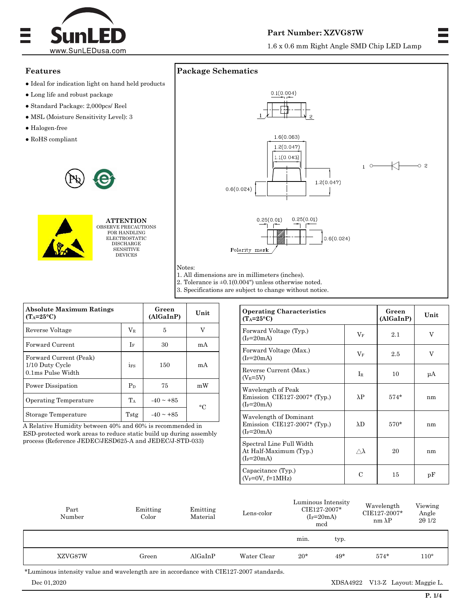

## **Part Number: XZVG87W**

1.6 x 0.6 mm Right Angle SMD Chip LED Lamp

# **Features**

- $\bullet$  Ideal for indication light on hand held products
- Long life and robust package
- Standard Package: 2,000pcs/ Reel
- MSL (Moisture Sensitivity Level): 3
- Halogen-free
- $\bullet$  RoHS compliant





**ATTENTION** OBSERVE PRECAUTIONS FOR HANDLING ELECTROSTATIC DISCHARGE SENSITIVE DEVICES



2. Tolerance is ±0.1(0.004") unless otherwise noted.

3. Specifications are subject to change without notice.

| <b>Absolute Maximum Ratings</b><br>$(T_A=25^{\circ}C)$         |           | Green<br>(AlGalnP) | Unit      |  |
|----------------------------------------------------------------|-----------|--------------------|-----------|--|
| Reverse Voltage                                                | $\rm V_R$ | 5                  |           |  |
| Forward Current                                                | If        | 30                 | mA        |  |
| Forward Current (Peak)<br>1/10 Duty Cycle<br>0.1ms Pulse Width | 1FS       | 150                | mA        |  |
| Power Dissipation                                              | $P_D$     | 75                 | mW        |  |
| Operating Temperature                                          | TA        | $-40 \sim +85$     | $\circ$ C |  |
| Storage Temperature                                            | Tstg      | $-40 \sim +85$     |           |  |

A Relative Humidity between 40% and 60% is recommended in ESD-protected work areas to reduce static build up during assembly process (Reference JEDEC/JESD625-A and JEDEC/J-STD-033)

| <b>Operating Characteristics</b><br>$(T_A=25^{\circ}C)$                | Green<br>(AlGaInP) | Unit   |    |
|------------------------------------------------------------------------|--------------------|--------|----|
| Forward Voltage (Typ.)<br>$(I_F=20mA)$                                 | $V_F$              | 2.1    | V  |
| Forward Voltage (Max.)<br>$(I_F=20mA)$                                 | $\rm V_F$          | 2.5    | V  |
| Reverse Current (Max.)<br>$(V_R = 5V)$                                 | $I_{R}$            | 10     | μA |
| Wavelength of Peak<br>Emission CIE127-2007* (Typ.)<br>$(I_F=20mA)$     | $\lambda$ P        | $574*$ | nm |
| Wavelength of Dominant<br>Emission CIE127-2007* (Typ.)<br>$(I_F=20mA)$ | $\lambda$ D        | $570*$ | nm |
| Spectral Line Full Width<br>At Half-Maximum (Typ.)<br>$(I_F=20mA)$     | $\wedge \lambda$   | 20     | nm |
| Capacitance (Typ.)<br>$(V_F=0V, f=1MHz)$                               | C                  | 15     | pF |

| Part<br>Number | Emitting<br>Color | Emitting<br>Material | Lens-color  | Luminous Intensity<br>CIE127-2007*<br>$(I_F=20mA)$<br>mcd |       | Wavelength<br>CIE127-2007*<br>$nm \lambda P$ | Viewing<br>Angle<br>201/2 |
|----------------|-------------------|----------------------|-------------|-----------------------------------------------------------|-------|----------------------------------------------|---------------------------|
|                |                   |                      |             | min.                                                      | typ.  |                                              |                           |
| XZVG87W        | Green             | AlGaInP              | Water Clear | $20*$                                                     | $49*$ | $574*$                                       | $110^{\circ}$             |

\*Luminous intensity value and wavelength are in accordance with CIE127-2007 standards.

Dec 01,2020 XDSA4922 V13-Z Layout: Maggie L.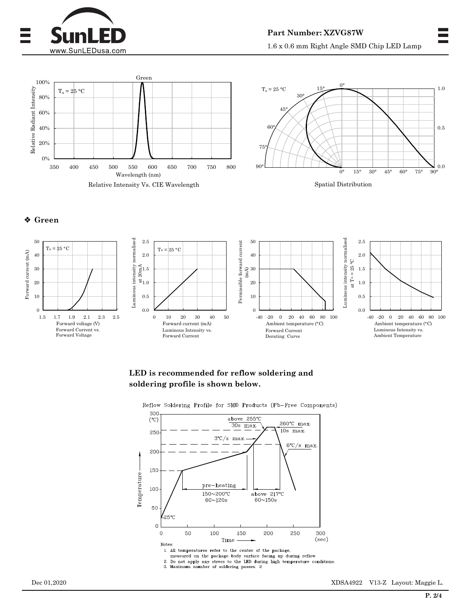





## **Green**



## **LED is recommended for reflow soldering and soldering profile is shown below.**



2. Do not apply any stress to the LED during high temperature conditions.<br>3. Maximum number of soldering passes: 2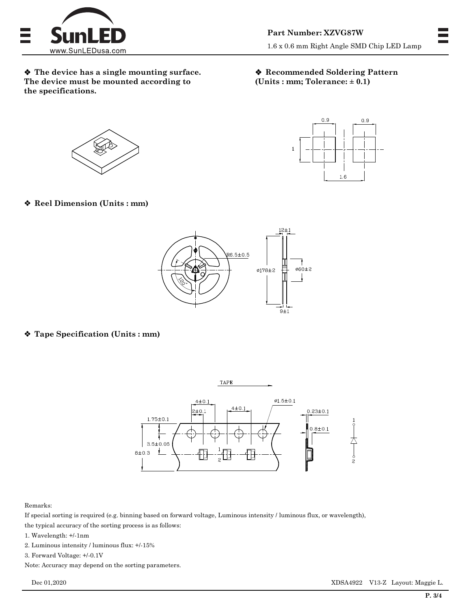

 **The device has a single mounting surface. The device must be mounted according to the specifications.**

### **Recommended Soldering Pattern (Units : mm; Tolerance: ± 0.1)**

 $0.9$ 

1.6

 $\mathbf{1}$ 

 $0.9$ 





**Reel Dimension (Units : mm)**



**Tape Specification (Units : mm)**



#### Remarks:

If special sorting is required (e.g. binning based on forward voltage, Luminous intensity / luminous flux, or wavelength), the typical accuracy of the sorting process is as follows:

- 1. Wavelength: +/-1nm
- 2. Luminous intensity / luminous flux: +/-15%

3. Forward Voltage: +/-0.1V

Note: Accuracy may depend on the sorting parameters.